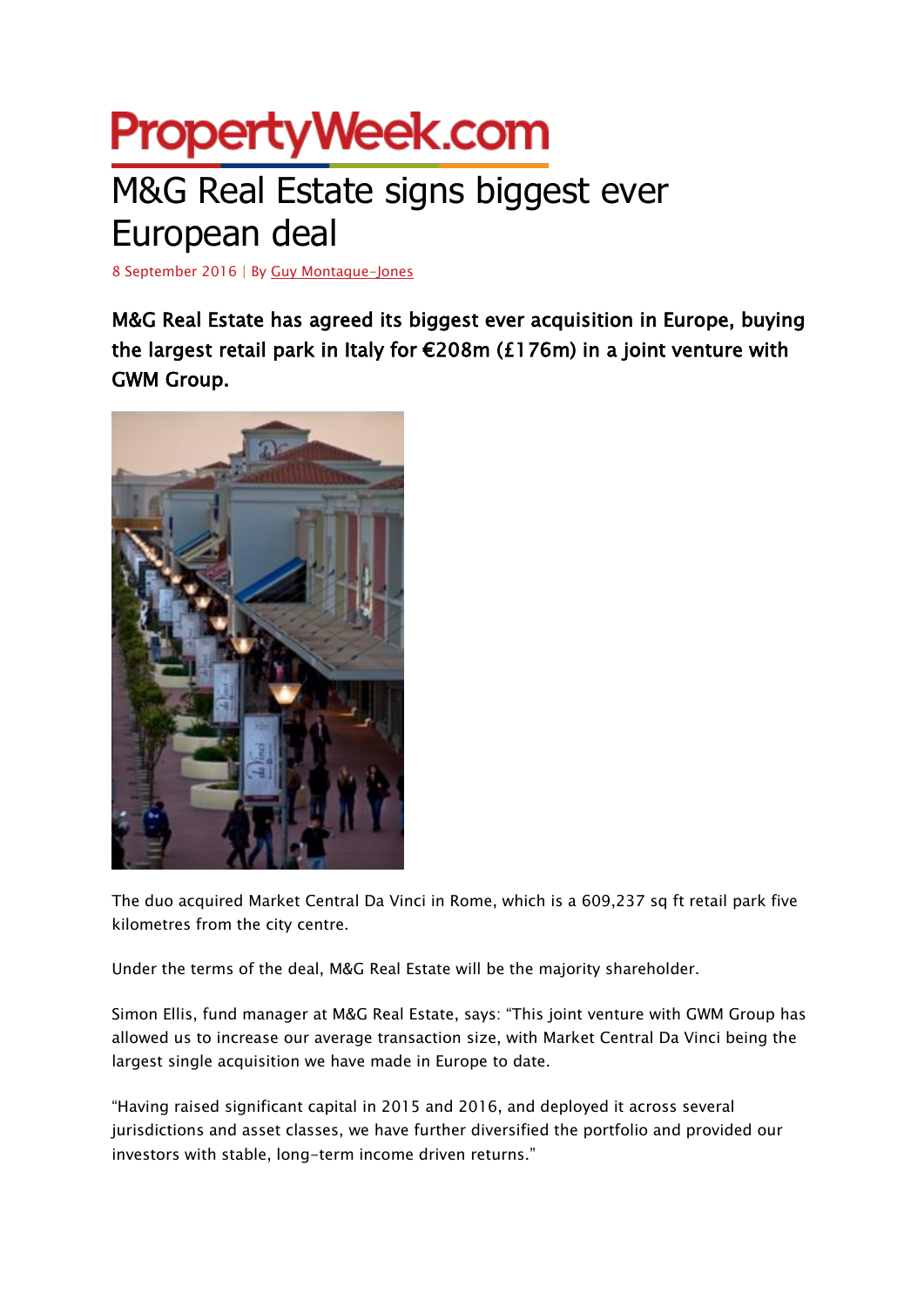## **PropertyWeek.com** M&G Real Estate signs biggest ever

## European deal

8 September 2016 | By [Guy Montague-Jones](http://www.propertyweek.com/guy-montague-jones/4501981.bio)

M&G Real Estate has agreed its biggest ever acquisition in Europe, buying the largest retail park in Italy for €208m (£176m) in a joint venture with GWM Group.



The duo acquired Market Central Da Vinci in Rome, which is a 609,237 sq ft retail park five kilometres from the city centre.

Under the terms of the deal, M&G Real Estate will be the majority shareholder.

Simon Ellis, fund manager at M&G Real Estate, says: "This joint venture with GWM Group has allowed us to increase our average transaction size, with Market Central Da Vinci being the largest single acquisition we have made in Europe to date.

"Having raised significant capital in 2015 and 2016, and deployed it across several jurisdictions and asset classes, we have further diversified the portfolio and provided our investors with stable, long-term income driven returns."